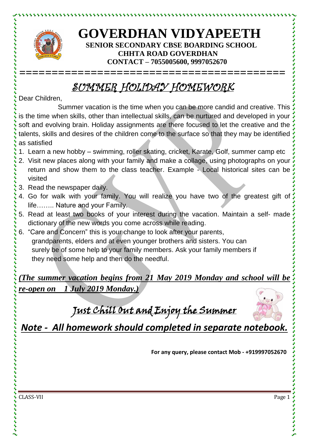

とけけいけいけいけい

## **GOVERDHAN VIDYAPEETH SENIOR SECONDARY CBSE BOARDING SCHOOL CHHTA ROAD GOVERDHAN CONTACT – 7055005600, 9997052670**

## SUMMER HOLIDAY HOMEWORK

**=========================================**

Dear Children,

Summer vacation is the time when you can be more candid and creative. This is the time when skills, other than intellectual skills, can be nurtured and developed in your soft and evolving brain. Holiday assignments are there focused to let the creative and the talents, skills and desires of the children come to the surface so that they may be identified as satisfied

- 1. Learn a new hobby swimming, roller skating, cricket, Karate, Golf, summer camp etc
- 2. Visit new places along with your family and make a collage, using photographs on your return and show them to the class teacher. Example - Local historical sites can be visited
- 3. Read the newspaper daily.
- 4. Go for walk with your family. You will realize you have two of the greatest gift of life…….. Nature and your Family.
- 5. Read at least two books of your interest during the vacation. Maintain a self- made dictionary of the new words you come across while reading.
- 6. "Care and Concern" this is your change to look after your parents, grandparents, elders and at even younger brothers and sisters. You can surely be of some help to your family members. Ask your family members if they need some help and then do the needful.

*(The summer vacation begins from 21 May 2019 Monday and school will be re-open on 1 July 2019 Monday.)*

Just Chill Out and Enjoy the Summer



*Note - All homework should completed in separate notebook.*

**For any query, please contact Mob - +919997052670**

CLASS-VII Page 1